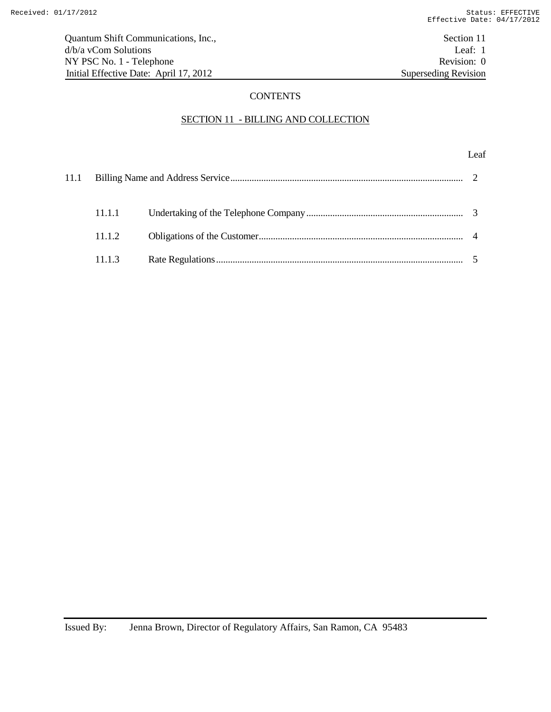## **CONTENTS**

# SECTION 11 - BILLING AND COLLECTION

## Leaf

| 11.1.1 |  |
|--------|--|
| 11.1.2 |  |
| 11.1.3 |  |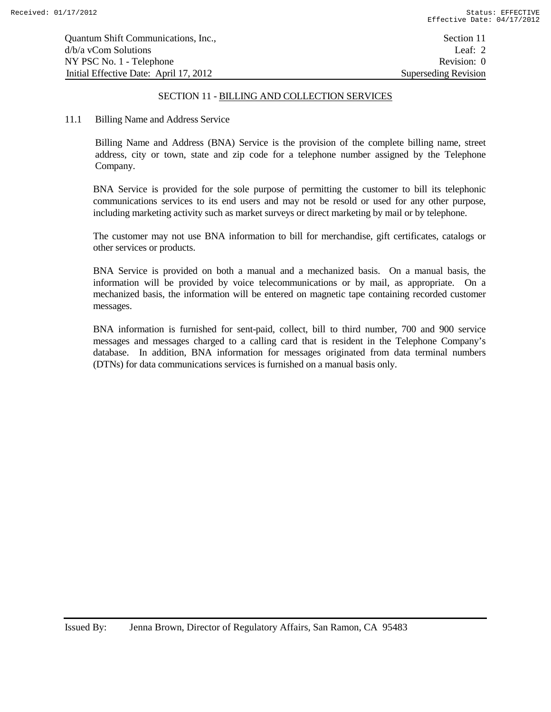| Quantum Shift Communications, Inc.,    | Section 11                  |
|----------------------------------------|-----------------------------|
| d/b/a yCom Solutions                   | Leaf: $2$                   |
| NY PSC No. 1 - Telephone               | Revision: 0                 |
| Initial Effective Date: April 17, 2012 | <b>Superseding Revision</b> |

#### 11.1 Billing Name and Address Service

Billing Name and Address (BNA) Service is the provision of the complete billing name, street address, city or town, state and zip code for a telephone number assigned by the Telephone Company.

BNA Service is provided for the sole purpose of permitting the customer to bill its telephonic communications services to its end users and may not be resold or used for any other purpose, including marketing activity such as market surveys or direct marketing by mail or by telephone.

The customer may not use BNA information to bill for merchandise, gift certificates, catalogs or other services or products.

BNA Service is provided on both a manual and a mechanized basis. On a manual basis, the information will be provided by voice telecommunications or by mail, as appropriate. On a mechanized basis, the information will be entered on magnetic tape containing recorded customer messages.

BNA information is furnished for sent-paid, collect, bill to third number, 700 and 900 service messages and messages charged to a calling card that is resident in the Telephone Company's database. In addition, BNA information for messages originated from data terminal numbers (DTNs) for data communications services is furnished on a manual basis only.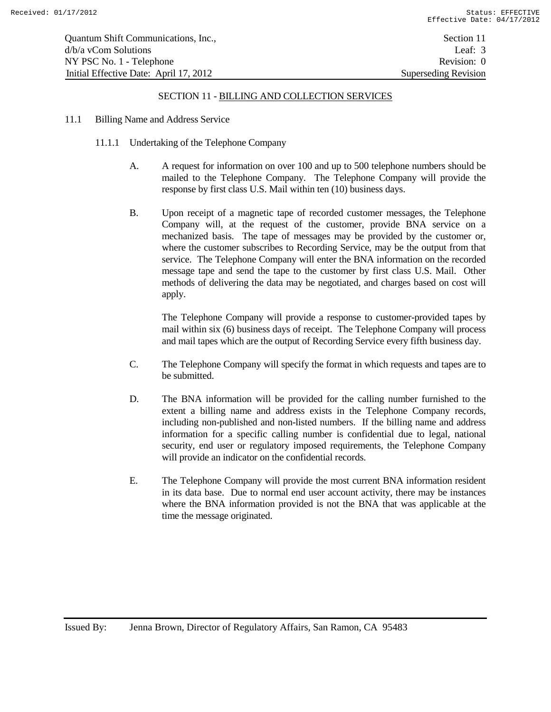- 11.1 Billing Name and Address Service
	- 11.1.1 Undertaking of the Telephone Company
		- A. A request for information on over 100 and up to 500 telephone numbers should be mailed to the Telephone Company. The Telephone Company will provide the response by first class U.S. Mail within ten (10) business days.
		- B. Upon receipt of a magnetic tape of recorded customer messages, the Telephone Company will, at the request of the customer, provide BNA service on a mechanized basis. The tape of messages may be provided by the customer or, where the customer subscribes to Recording Service, may be the output from that service. The Telephone Company will enter the BNA information on the recorded message tape and send the tape to the customer by first class U.S. Mail. Other methods of delivering the data may be negotiated, and charges based on cost will apply.

The Telephone Company will provide a response to customer-provided tapes by mail within six (6) business days of receipt. The Telephone Company will process and mail tapes which are the output of Recording Service every fifth business day.

- C. The Telephone Company will specify the format in which requests and tapes are to be submitted.
- D. The BNA information will be provided for the calling number furnished to the extent a billing name and address exists in the Telephone Company records, including non-published and non-listed numbers. If the billing name and address information for a specific calling number is confidential due to legal, national security, end user or regulatory imposed requirements, the Telephone Company will provide an indicator on the confidential records.
- E. The Telephone Company will provide the most current BNA information resident in its data base. Due to normal end user account activity, there may be instances where the BNA information provided is not the BNA that was applicable at the time the message originated.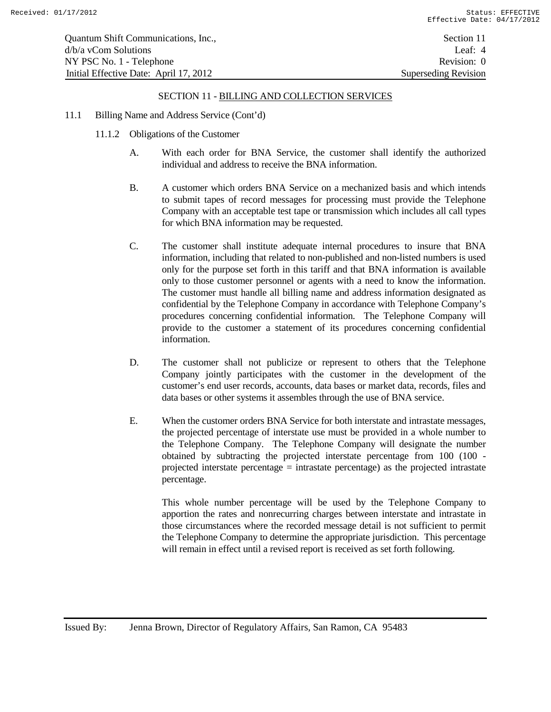- 11.1 Billing Name and Address Service (Cont'd)
	- 11.1.2 Obligations of the Customer
		- A. With each order for BNA Service, the customer shall identify the authorized individual and address to receive the BNA information.
		- B. A customer which orders BNA Service on a mechanized basis and which intends to submit tapes of record messages for processing must provide the Telephone Company with an acceptable test tape or transmission which includes all call types for which BNA information may be requested.
		- C. The customer shall institute adequate internal procedures to insure that BNA information, including that related to non-published and non-listed numbers is used only for the purpose set forth in this tariff and that BNA information is available only to those customer personnel or agents with a need to know the information. The customer must handle all billing name and address information designated as confidential by the Telephone Company in accordance with Telephone Company's procedures concerning confidential information. The Telephone Company will provide to the customer a statement of its procedures concerning confidential information.
		- D. The customer shall not publicize or represent to others that the Telephone Company jointly participates with the customer in the development of the customer's end user records, accounts, data bases or market data, records, files and data bases or other systems it assembles through the use of BNA service.
		- E. When the customer orders BNA Service for both interstate and intrastate messages, the projected percentage of interstate use must be provided in a whole number to the Telephone Company. The Telephone Company will designate the number obtained by subtracting the projected interstate percentage from 100 (100 projected interstate percentage  $=$  intrastate percentage) as the projected intrastate percentage.

This whole number percentage will be used by the Telephone Company to apportion the rates and nonrecurring charges between interstate and intrastate in those circumstances where the recorded message detail is not sufficient to permit the Telephone Company to determine the appropriate jurisdiction. This percentage will remain in effect until a revised report is received as set forth following.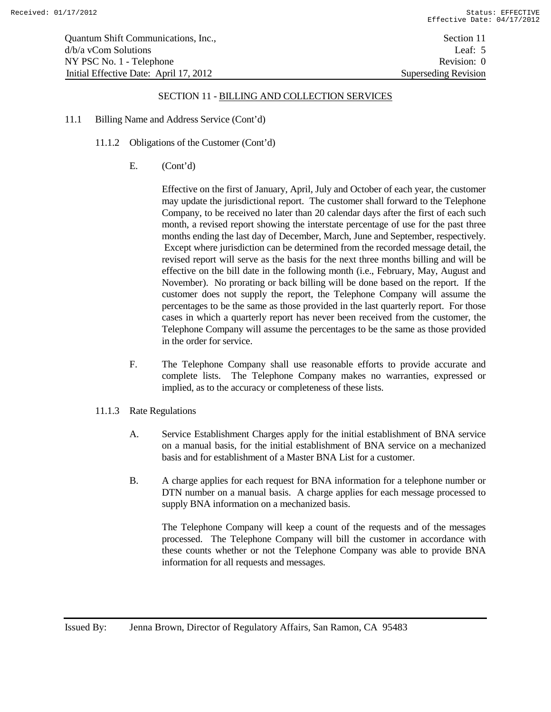- 11.1 Billing Name and Address Service (Cont'd)
	- 11.1.2 Obligations of the Customer (Cont'd)
		- E. (Cont'd)

Effective on the first of January, April, July and October of each year, the customer may update the jurisdictional report. The customer shall forward to the Telephone Company, to be received no later than 20 calendar days after the first of each such month, a revised report showing the interstate percentage of use for the past three months ending the last day of December, March, June and September, respectively. Except where jurisdiction can be determined from the recorded message detail, the revised report will serve as the basis for the next three months billing and will be effective on the bill date in the following month (i.e., February, May, August and November). No prorating or back billing will be done based on the report. If the customer does not supply the report, the Telephone Company will assume the percentages to be the same as those provided in the last quarterly report. For those cases in which a quarterly report has never been received from the customer, the Telephone Company will assume the percentages to be the same as those provided in the order for service.

- F. The Telephone Company shall use reasonable efforts to provide accurate and complete lists. The Telephone Company makes no warranties, expressed or implied, as to the accuracy or completeness of these lists.
- 11.1.3 Rate Regulations
	- A. Service Establishment Charges apply for the initial establishment of BNA service on a manual basis, for the initial establishment of BNA service on a mechanized basis and for establishment of a Master BNA List for a customer.
	- B. A charge applies for each request for BNA information for a telephone number or DTN number on a manual basis. A charge applies for each message processed to supply BNA information on a mechanized basis.

The Telephone Company will keep a count of the requests and of the messages processed. The Telephone Company will bill the customer in accordance with these counts whether or not the Telephone Company was able to provide BNA information for all requests and messages.